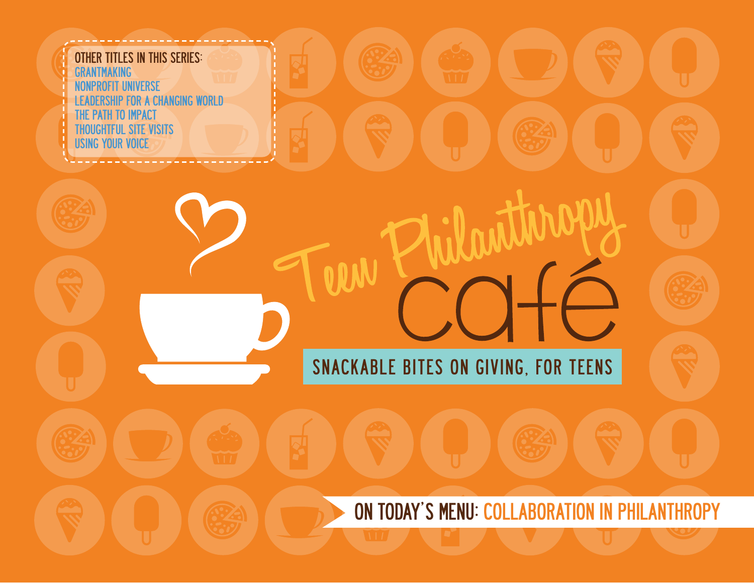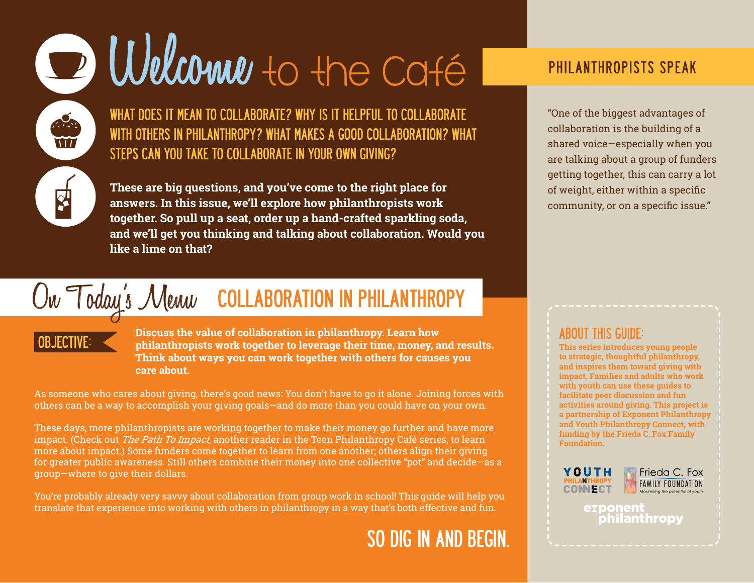# D Welcome to the Caté

WHAT DOES IT MEAN TO COLLABORATE? WHY IS IT HELPFUL TO COLLABORATE WITH OTHERS IN PHILANTHROPY? WHAT MAKES A GOOD COLLABORATION? WHAT STEPS CAN YOU TAKE TO COLLABORATE IN YOUR OWN GIVING?

**These are big questions, and you've come to the right place for answers. In this issue, we'll explore how philanthropists work together. So pull up a seat, order up a hand-crafted sparkling soda, and we'll get you thinking and talking about collaboration. Would you like a lime on that?**

#### On Today's Menu COLLABORATION IN PHILANTHROPY

 $\frac{1}{2}$ W

OBJECTIVE: **Discuss the value of collaboration in philanthropy. Learn how philanthropists work together to leverage their time, money, and results. Think about ways you can work together with others for causes you care about.**

As someone who cares about giving, there's good news: You don't have to go it alone. Joining forces with others can be a way to accomplish your giving goals—and do more than you could have on your own.

These days, more philanthropists are working together to make their money go further and have more impact. (Check out *The Path To Impact*, another reader in the Teen Philanthropy Café series, to learn more about impact.) Some funders come together to learn from one another; others align their giving for greater public awareness. Still others combine their money into one collective "pot" and decide—as a group—where to give their dollars.

You're probably already very savvy about collaboration from group work in school! This guide will help you translate that experience into working with others in philanthropy in a way that's both effective and fun.

## SO DIG IN AND BEGIN.

## PHILANTHROPISTS SPEAK

"One of the biggest advantages of collaboration is the building of a shared voice—especially when you are talking about a group of funders getting together, this can carry a lot of weight, either within a specific community, or on a specific issue."

#### ABOUT THIS GUIDE:

**This series introduces young people to strategic, thoughtful philanthropy, and inspires them toward giving with impact. Families and adults who work with youth can use these guides to facilitate peer discussion and fun activities around giving. This project is a partnership of Exponent Philanthropy and Youth Philanthropy Connect, with funding by the Frieda C. Fox Family Foundation.**





exponent philanthropy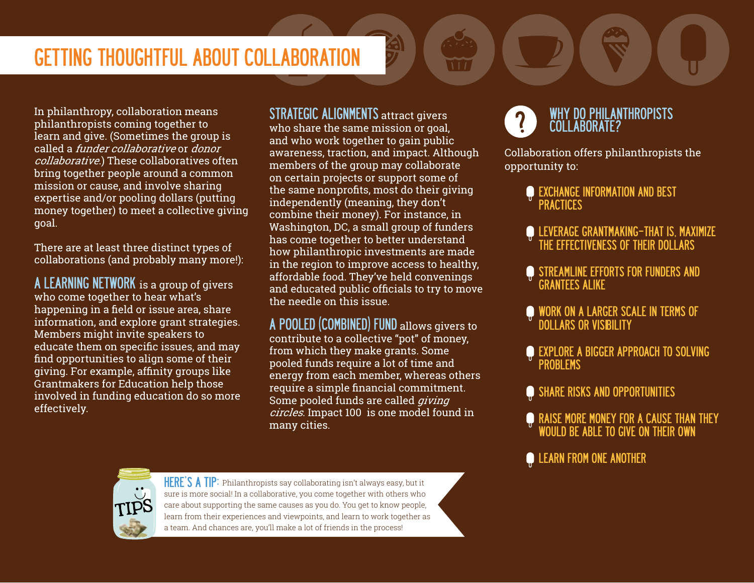## GETTING THOUGHTFUL ABOUT COLLABORATION

In philanthropy, collaboration means philanthropists coming together to learn and give. (Sometimes the group is called a funder collaborative or donor collaborative.) These collaboratives often bring together people around a common mission or cause, and involve sharing expertise and/or pooling dollars (putting money together) to meet a collective giving goal.

There are at least three distinct types of collaborations (and probably many more!):

A LEARNING NETWORK is a group of givers who come together to hear what's happening in a field or issue area, share information, and explore grant strategies. Members might invite speakers to educate them on specific issues, and may find opportunities to align some of their giving. For example, affinity groups like Grantmakers for Education help those involved in funding education do so more effectively.

STRATEGIC ALIGNMENTS attract givers who share the same mission or goal, and who work together to gain public awareness, traction, and impact. Although members of the group may collaborate on certain projects or support some of the same nonprofits, most do their giving independently (meaning, they don't combine their money). For instance, in Washington, DC, a small group of funders has come together to better understand how philanthropic investments are made in the region to improve access to healthy, affordable food. They've held convenings and educated public officials to try to move the needle on this issue.

A POOLED (COMBINED) FUND allows givers to contribute to a collective "pot" of money, from which they make grants. Some pooled funds require a lot of time and energy from each member, whereas others require a simple financial commitment. Some pooled funds are called *giving* circles. Impact 100 is one model found in many cities.



HERE'S A TIP: Philanthropists say collaborating isn't always easy, but it sure is more social! In a collaborative, you come together with others who care about supporting the same causes as you do. You get to know people, learn from their experiences and viewpoints, and learn to work together as a team. And chances are, you'll make a lot of friends in the process!



Collaboration offers philanthropists the opportunity to:

- **EXCHANGE INFORMATION AND BEST PRACTICES**
- LEVERAGE GRANTMAKING—THAT IS, MAXIMIZE THE EFFECTIVENESS OF THEIR DOLLARS
- **STREAMLINE EFFORTS FOR FUNDERS AND** GRANTEES ALIKE
- WORK ON A LARGER SCALE IN TERMS OF DOLLARS OR VISIBILITY
- **EXPLORE A BIGGER APPROACH TO SOLVING** PROBLEMS
- SHARE RISKS AND OPPORTUNITIES
- RAISE MORE MONEY FOR A CAUSE THAN THEY WOULD BE ABLE TO GIVE ON THEIR OWN
- **CONGRESO LEARN FROM ONE ANOTHER**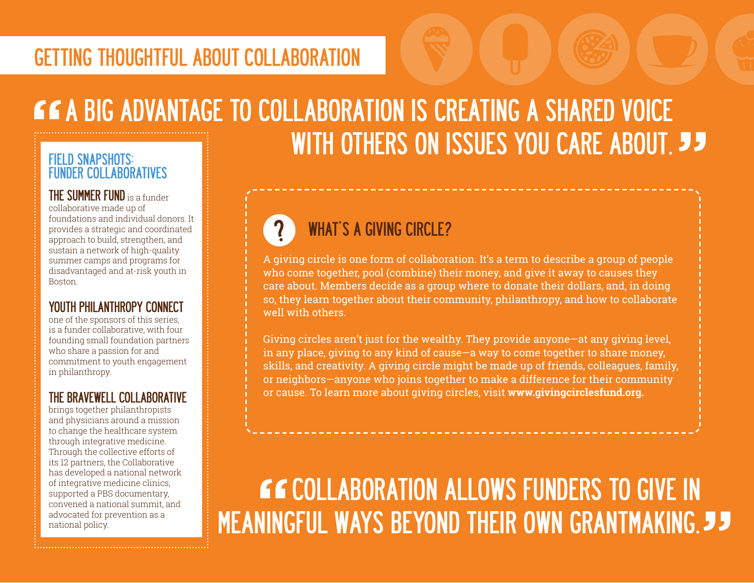# A BIG ADVANTAGE TO COLLABORATION IS CREATING A SHARED VOICE WITH OTHERS ON ISSUES YOU CARE ABOUT. **JJ**

#### FIELD SNAPSHOTS: FUNDER COLLABORATIVES

THE SUMMER FUND is a funder collaborative made up of foundations and individual donors. It provides a strategic and coordinated approach to build, strengthen, and sustain a network of high-quality summer camps and programs for disadvantaged and at-risk youth in Boston.

#### YOUTH PHILANTHROPY CONNECT

one of the sponsors of this series, is a funder collaborative, with four founding small foundation partners who share a passion for and commitment to youth engagement in philanthropy.

#### THE BRAVEWELL COLLABORATIVE

brings together philanthropists and physicians around a mission to change the healthcare system through integrative medicine. Through the collective efforts of its 12 partners, the Collaborative has developed a national network of integrative medicine clinics, supported a PBS documentary, convened a national summit, and advocated for prevention as a national policy.

## WHAT'S A GIVING CIRCLE?

A giving circle is one form of collaboration. It's a term to describe a group of people who come together, pool (combine) their money, and give it away to causes they care about. Members decide as a group where to donate their dollars, and, in doing so, they learn together about their community, philanthropy, and how to collaborate well with others.

Giving circles aren't just for the wealthy. They provide anyone—at any giving level, in any place, giving to any kind of cause—a way to come together to share money, skills, and creativity. A giving circle might be made up of friends, colleagues, family, or neighbors—anyone who joins together to make a difference for their community or cause. To learn more about giving circles, visit **[www.givingcirclesfund.org.](www.givingcirclesfund.org)**

## **CCOLLABORATION ALLOWS FUNDERS TO GIVE IN** MEANINGFUL WAYS BEYOND THEIR OWN GRANTMAKING.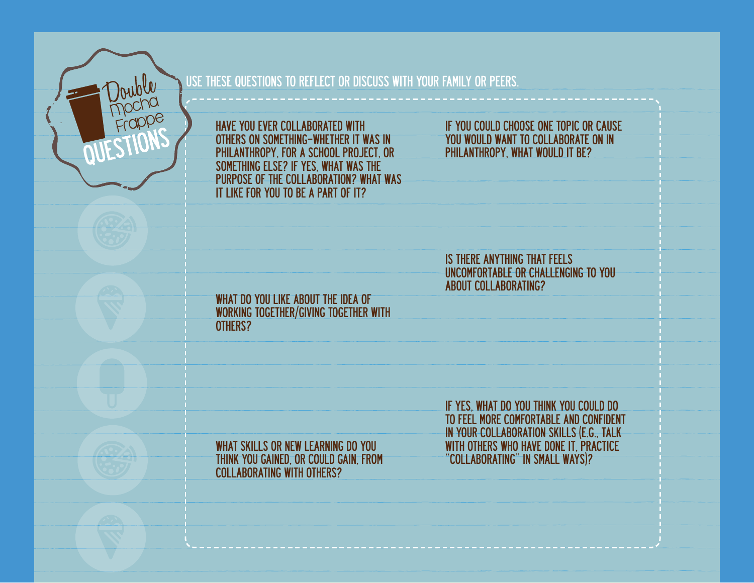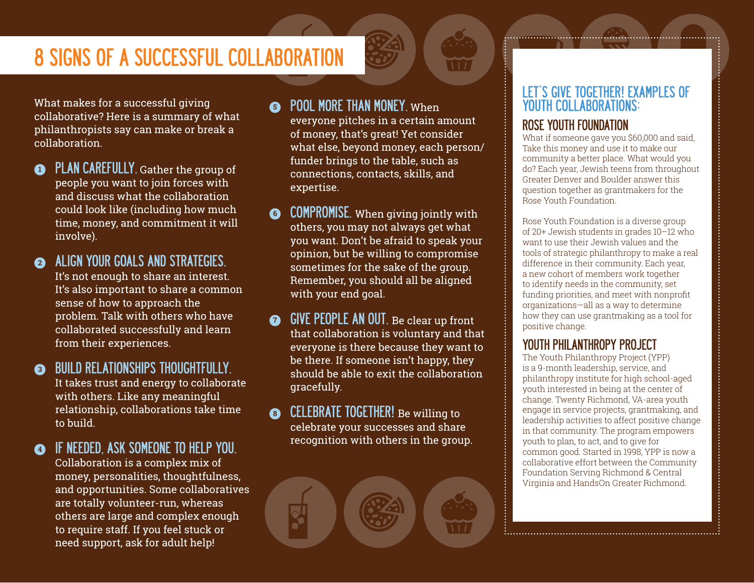## 8 SIGNS OF A SUCCESSFUL COLLABORATION

What makes for a successful giving collaborative? Here is a summary of what philanthropists say can make or break a collaboration.

**1** PLAN CAREFULLY. Gather the group of people you want to join forces with and discuss what the collaboration could look like (including how much time, money, and commitment it will involve).

**<sup>2</sup>** ALIGN YOUR GOALS AND STRATEGIES. It's not enough to share an interest. It's also important to share a common sense of how to approach the problem. Talk with others who have collaborated successfully and learn from their experiences.

**3** BUILD RELATIONSHIPS THOUGHTFULLY. It takes trust and energy to collaborate with others. Like any meaningful relationship, collaborations take time to build.

**<sup>4</sup>** IF NEEDED, ASK SOMEONE TO HELP YOU. Collaboration is a complex mix of money, personalities, thoughtfulness, and opportunities. Some collaboratives are totally volunteer-run, whereas others are large and complex enough to require staff. If you feel stuck or need support, ask for adult help!

#### **6** POOL MORE THAN MONEY. When

everyone pitches in a certain amount of money, that's great! Yet consider what else, beyond money, each person/ funder brings to the table, such as connections, contacts, skills, and expertise.

- **6** COMPROMISE. When giving jointly with others, you may not always get what you want. Don't be afraid to speak your opinion, but be willing to compromise sometimes for the sake of the group. Remember, you should all be aligned with your end goal.
- **GIVE PEOPLE AN OUT.** Be clear up front that collaboration is voluntary and that everyone is there because they want to be there. If someone isn't happy, they should be able to exit the collaboration gracefully.
- **8** CELEBRATE TOGETHER! Be willing to celebrate your successes and share recognition with others in the group.

#### LET'S GIVE TOGETHER! EXAMPLES OF YOUTH COLLABORATIONS:

#### [ROSE YOUTH FOUNDATION](www.rcfdenver.org/content/rose-youth-foundation.YOUTH)

What if someone gave you \$60,000 and said. Take this money and use it to make our community a better place. What would you do? Each year, Jewish teens from throughout Greater Denver and Boulder answer this question together as grantmakers for the Rose Youth Foundation.

Rose Youth Foundation is a diverse group of 20+ Jewish students in grades 10–12 who want to use their Jewish values and the tools of strategic philanthropy to make a real difference in their community. Each year, a new cohort of members work together to identify needs in the community, set funding priorities, and meet with nonprofit organizations—all as a way to determine how they can use grantmaking as a tool for positive change.

#### [YOUTH PHILANTHROPY PROJECT](www.tcfrichmond.org/give/give-together/youth-philanthropy-project)

The Youth Philanthropy Project (YPP) is a 9-month leadership, service, and philanthropy institute for high school-aged youth interested in being at the center of change. Twenty Richmond, VA-area youth engage in service projects, grantmaking, and leadership activities to affect positive change in that community. The program empowers youth to plan, to act, and to give for common good. Started in 1998, YPP is now a collaborative effort between the Community Foundation Serving Richmond & Central Virginia and HandsOn Greater Richmond.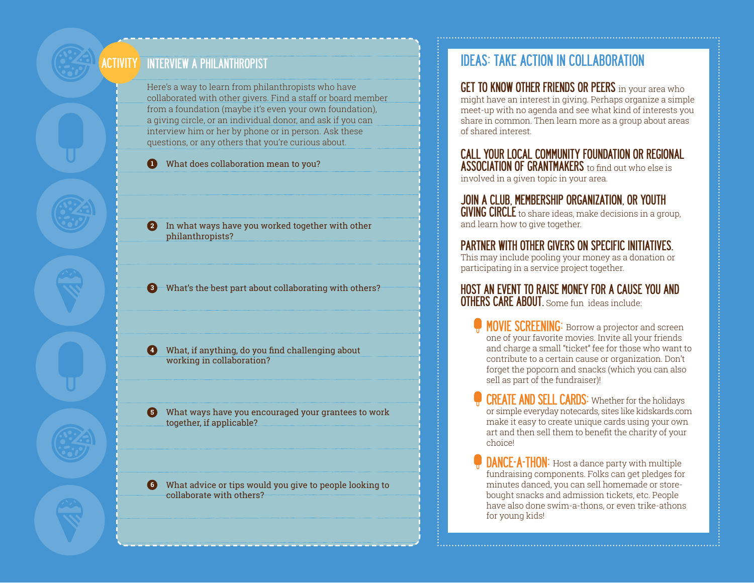#### INTERVIEW A PHILANTHROPIST **ACTIVITY**

Here's a way to learn from philanthropists who have collaborated with other givers. Find a staff or board member from a foundation (maybe it's even your own foundation), a giving circle, or an individual donor, and ask if you can interview him or her by phone or in person. Ask these questions, or any others that you're curious about.

**1** What does collaboration mean to you?

**2** In what ways have you worked together with other philanthropists?

**3** What's the best part about collaborating with others?

**4** What, if anything, do you find challenging about working in collaboration?

**5** What ways have you encouraged your grantees to work together, if applicable?

**6** What advice or tips would you give to people looking to collaborate with others?

### IDEAS: TAKE ACTION IN COLLABORATION

**GET TO KNOW OTHER FRIENDS OR PEERS** in your area who might have an interest in giving. Perhaps organize a simple meet-up with no agenda and see what kind of interests you share in common. Then learn more as a group about areas of shared interest.

#### CALL YOUR LOCAL COMMUNITY FOUNDATION OR REGIONAL **ASSOCIATION OF GRANTMAKERS** to find out who else is

involved in a given topic in your area.

#### JOIN A CLUB, MEMBERSHIP ORGANIZATION, OR YOUTH

GIVING CIRCLE to share ideas, make decisions in a group, and learn how to give together.

#### PARTNER WITH OTHER GIVERS ON SPECIFIC INITIATIVES.

This may include pooling your money as a donation or participating in a service project together.

#### HOST AN EVENT TO RAISE MONEY FOR A CAUSE YOU AND OTHERS CARE ABOUT. Some fun ideas include:

- **MOVIE SCREENING:** Borrow a projector and screen one of your favorite movies. Invite all your friends and charge a small "ticket" fee for those who want to contribute to a certain cause or organization. Don't forget the popcorn and snacks (which you can also sell as part of the fundraiser)!
- CREATE AND SELL CARDS: Whether for the holidays or simple everyday notecards, sites like kidskards.com make it easy to create unique cards using your own art and then sell them to benefit the charity of your choice!
- **DANCE-A-THON:** Host a dance party with multiple fundraising components. Folks can get pledges for minutes danced, you can sell homemade or storebought snacks and admission tickets, etc. People have also done swim-a-thons, or even trike-athons for young kids!